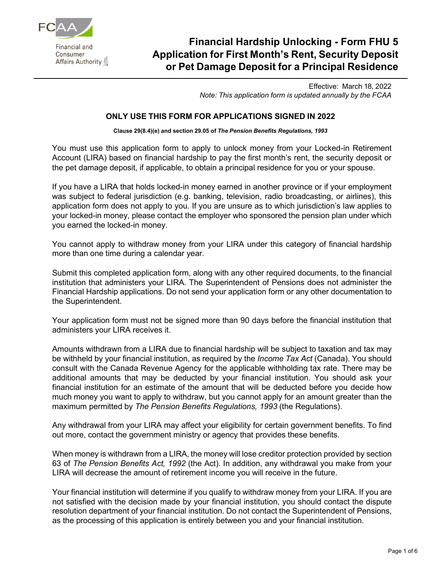

Financial and Consumer Affairs Authority

# **Financial Hardship Unlocking - Form FHU 5 Application for First Month's Rent, Security Deposit or Pet Damage Deposit for a Principal Residence**

Effective: March 18, 2022 *Note: This application form is updated annually by the FCAA*

#### **ONLY USE THIS FORM FOR APPLICATIONS SIGNED IN 2022**

**Clause 29(8.4)(e) and section 29.05 of** *The Pension Benefits Regulations, 1993*

You must use this application form to apply to unlock money from your Locked-in Retirement Account (LIRA) based on financial hardship to pay the first month's rent, the security deposit or the pet damage deposit, if applicable, to obtain a principal residence for you or your spouse.

If you have a LIRA that holds locked-in money earned in another province or if your employment was subject to federal jurisdiction (e.g. banking, television, radio broadcasting, or airlines), this application form does not apply to you. If you are unsure as to which jurisdiction's law applies to your locked-in money, please contact the employer who sponsored the pension plan under which you earned the locked-in money.

You cannot apply to withdraw money from your LIRA under this category of financial hardship more than one time during a calendar year.

Submit this completed application form, along with any other required documents, to the financial institution that administers your LIRA. The Superintendent of Pensions does not administer the Financial Hardship applications. Do not send your application form or any other documentation to the Superintendent.

Your application form must not be signed more than 90 days before the financial institution that administers your LIRA receives it.

Amounts withdrawn from a LIRA due to financial hardship will be subject to taxation and tax may be withheld by your financial institution, as required by the *Income Tax Act* (Canada). You should consult with the Canada Revenue Agency for the applicable withholding tax rate. There may be additional amounts that may be deducted by your financial institution. You should ask your financial institution for an estimate of the amount that will be deducted before you decide how much money you want to apply to withdraw, but you cannot apply for an amount greater than the maximum permitted by *The Pension Benefits Regulations, 1993* (the Regulations).

Any withdrawal from your LIRA may affect your eligibility for certain government benefits. To find out more, contact the government ministry or agency that provides these benefits.

When money is withdrawn from a LIRA, the money will lose creditor protection provided by section 63 of *The Pension Benefits Act, 1992* (the Act). In addition, any withdrawal you make from your LIRA will decrease the amount of retirement income you will receive in the future.

Your financial institution will determine if you qualify to withdraw money from your LIRA. If you are not satisfied with the decision made by your financial institution, you should contact the dispute resolution department of your financial institution. Do not contact the Superintendent of Pensions, as the processing of this application is entirely between you and your financial institution.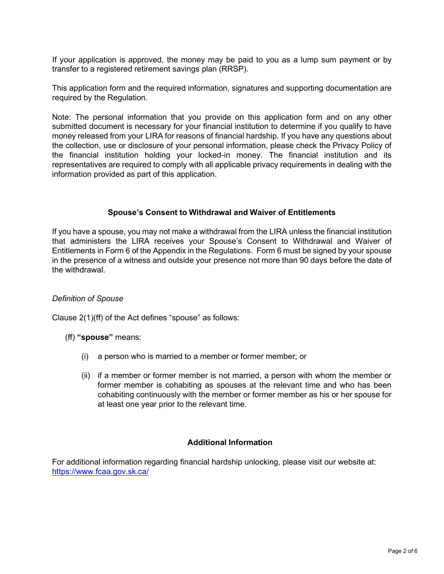If your application is approved, the money may be paid to you as a lump sum payment or by transfer to a registered retirement savings plan (RRSP).

This application form and the required information, signatures and supporting documentation are required by the Regulation.

Note: The personal information that you provide on this application form and on any other submitted document is necessary for your financial institution to determine if you qualify to have money released from your LIRA for reasons of financial hardship. If you have any questions about the collection, use or disclosure of your personal information, please check the Privacy Policy of the financial institution holding your locked-in money. The financial institution and its representatives are required to comply with all applicable privacy requirements in dealing with the information provided as part of this application.

#### **Spouse's Consent to Withdrawal and Waiver of Entitlements**

If you have a spouse, you may not make a withdrawal from the LIRA unless the financial institution that administers the LIRA receives your Spouse's Consent to Withdrawal and Waiver of Entitlements in Form 6 of the Appendix in the Regulations. Form 6 must be signed by your spouse in the presence of a witness and outside your presence not more than 90 days before the date of the withdrawal.

#### *Definition of Spouse*

Clause 2(1)(ff) of the Act defines "spouse" as follows:

(ff) **"spouse"** means:

- (i) a person who is married to a member or former member; or
- (ii) if a member or former member is not married, a person with whom the member or former member is cohabiting as spouses at the relevant time and who has been cohabiting continuously with the member or former member as his or her spouse for at least one year prior to the relevant time.

### **Additional Information**

For additional information regarding financial hardship unlocking, please visit our website at: <https://www.fcaa.gov.sk.ca/>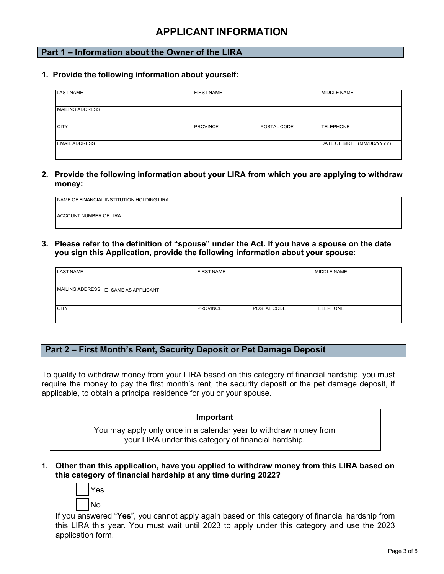# **APPLICANT INFORMATION**

# **Part 1 – Information about the Owner of the LIRA**

**1. Provide the following information about yourself:**

| <b>LAST NAME</b>       | <b>FIRST NAME</b> |             | <b>MIDDLE NAME</b>         |
|------------------------|-------------------|-------------|----------------------------|
| <b>MAILING ADDRESS</b> |                   |             |                            |
| <b>CITY</b>            | <b>PROVINCE</b>   | POSTAL CODE | <b>TELEPHONE</b>           |
| <b>EMAIL ADDRESS</b>   |                   |             | DATE OF BIRTH (MM/DD/YYYY) |

**2. Provide the following information about your LIRA from which you are applying to withdraw money:**

| NAME OF FINANCIAL INSTITUTION HOLDING LIRA |  |
|--------------------------------------------|--|
|                                            |  |
| <b>ACCOUNT NUMBER OF LIRA</b>              |  |
|                                            |  |

**3. Please refer to the definition of "spouse" under the Act. If you have a spouse on the date you sign this Application, provide the following information about your spouse:**

| <b>LAST NAME</b>                         | <b>FIRST NAME</b> |             | <b>MIDDLE NAME</b> |
|------------------------------------------|-------------------|-------------|--------------------|
| MAILING ADDRESS $\Box$ SAME AS APPLICANT |                   |             |                    |
| <b>CITY</b>                              | <b>PROVINCE</b>   | POSTAL CODE | <b>TELEPHONE</b>   |

# **Part 2 – First Month's Rent, Security Deposit or Pet Damage Deposit**

To qualify to withdraw money from your LIRA based on this category of financial hardship, you must require the money to pay the first month's rent, the security deposit or the pet damage deposit, if applicable, to obtain a principal residence for you or your spouse.

#### **Important**

You may apply only once in a calendar year to withdraw money from your LIRA under this category of financial hardship.

**1. Other than this application, have you applied to withdraw money from this LIRA based on this category of financial hardship at any time during 2022?**



If you answered "**Yes**", you cannot apply again based on this category of financial hardship from this LIRA this year. You must wait until 2023 to apply under this category and use the 2023 application form.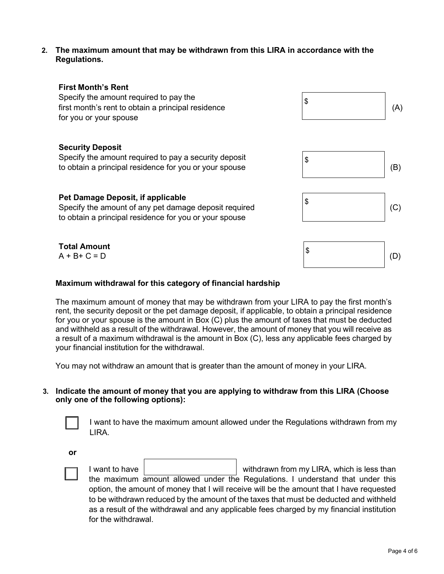**2. The maximum amount that may be withdrawn from this LIRA in accordance with the Regulations.**



## **Maximum withdrawal for this category of financial hardship**

The maximum amount of money that may be withdrawn from your LIRA to pay the first month's rent, the security deposit or the pet damage deposit, if applicable, to obtain a principal residence for you or your spouse is the amount in Box (C) plus the amount of taxes that must be deducted and withheld as a result of the withdrawal. However, the amount of money that you will receive as a result of a maximum withdrawal is the amount in Box (C), less any applicable fees charged by your financial institution for the withdrawal.

You may not withdraw an amount that is greater than the amount of money in your LIRA.

#### **3. Indicate the amount of money that you are applying to withdraw from this LIRA (Choose only one of the following options):**



I want to have the maximum amount allowed under the Regulations withdrawn from my LIRA.

**or**



I want to have solution of the withdrawn from my LIRA, which is less than the maximum amount allowed under the Regulations. I understand that under this option, the amount of money that I will receive will be the amount that I have requested to be withdrawn reduced by the amount of the taxes that must be deducted and withheld as a result of the withdrawal and any applicable fees charged by my financial institution for the withdrawal.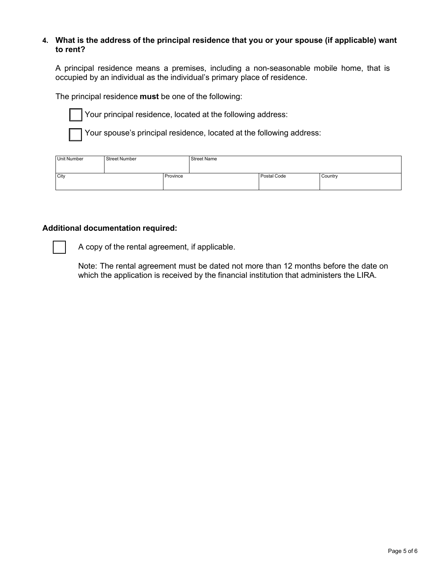### **4. What is the address of the principal residence that you or your spouse (if applicable) want to rent?**

A principal residence means a premises, including a non-seasonable mobile home, that is occupied by an individual as the individual's primary place of residence.

The principal residence **must** be one of the following:



Your principal residence, located at the following address:

Your spouse's principal residence, located at the following address:

| Unit Number | <b>Street Number</b> |          | <b>Street Name</b> |             |         |
|-------------|----------------------|----------|--------------------|-------------|---------|
|             |                      |          |                    |             |         |
| City        |                      | Province |                    | Postal Code | Country |
|             |                      |          |                    |             |         |

#### **Additional documentation required:**

A copy of the rental agreement, if applicable.

Note: The rental agreement must be dated not more than 12 months before the date on which the application is received by the financial institution that administers the LIRA.